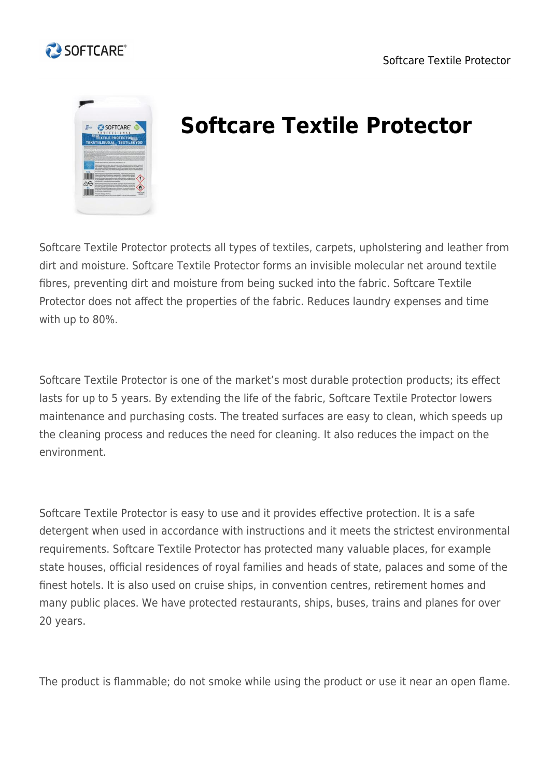





## **Softcare Textile Protector**

Softcare Textile Protector protects all types of textiles, carpets, upholstering and leather from dirt and moisture. Softcare Textile Protector forms an invisible molecular net around textile fibres, preventing dirt and moisture from being sucked into the fabric. Softcare Textile Protector does not affect the properties of the fabric. Reduces laundry expenses and time with up to 80%.

Softcare Textile Protector is one of the market's most durable protection products; its effect lasts for up to 5 years. By extending the life of the fabric, Softcare Textile Protector lowers maintenance and purchasing costs. The treated surfaces are easy to clean, which speeds up the cleaning process and reduces the need for cleaning. It also reduces the impact on the environment.

Softcare Textile Protector is easy to use and it provides effective protection. It is a safe detergent when used in accordance with instructions and it meets the strictest environmental requirements. Softcare Textile Protector has protected many valuable places, for example state houses, official residences of royal families and heads of state, palaces and some of the finest hotels. It is also used on cruise ships, in convention centres, retirement homes and many public places. We have protected restaurants, ships, buses, trains and planes for over 20 years.

The product is flammable; do not smoke while using the product or use it near an open flame.